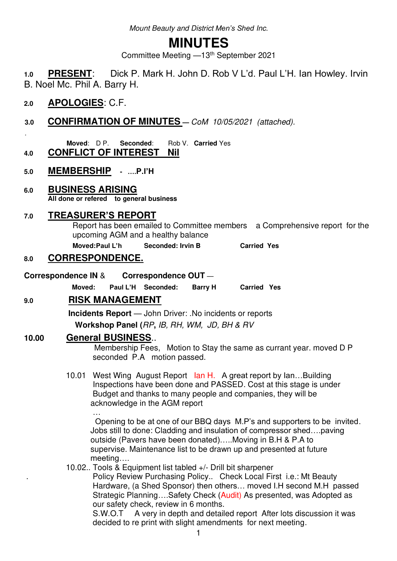Mount Beauty and District *Men's Shed* Inc.

# **MINUTES**

Committee Meeting —13th September 2021

**1.0 PRESENT**: Dick P. Mark H. John D. Rob V L'd. Paul L'H. Ian Howley. Irvin B. Noel Mc. Phil A. Barry H.

## **2.0 APOLOGIES**: C.F.

.

**3.0 CONFIRMATION OF MINUTES —** CoM 10/05/2021 (attached).

**Moved**: D P. **Seconded**: Rob V. **Carried** Yes

**4.0 CONFLICT OF INTEREST Nil**

- **5.0 MEMBERSHIP ….P.l'H**
- **6.0 BUSINESS ARISING All done or refered to general business**

## **7.0 TREASURER'S REPORT**

Report has been emailed to Committee members a Comprehensive report for the upcoming AGM and a healthy balance

**Moved: Paul L'h Seconded: Irvin B Carried Yes** 

## **8.0 CORRESPONDENCE.**

- **Correspondence IN** & **Correspondence OUT**
	- **Moved: Paul L'H Seconded: Barry H Carried Yes**

## **9.0 RISK MANAGEMENT**

 **Incidents Report** — John Driver: .No incidents or reports  **Workshop Panel (**RP**,** IB, RH, WM, JD, BH & RV

### **10.00 General BUSINESS**..

 Membership Fees, Motion to Stay the same as currant year. moved D P seconded P.A motion passed.

10.01 West Wing August Report Ian H. A great report by Ian...Building Inspections have been done and PASSED. Cost at this stage is under Budget and thanks to many people and companies, they will be acknowledge in the AGM report

man and the contract of the Opening to be at one of our BBQ days M.P's and supporters to be invited. Jobs still to done: Cladding and insulation of compressor shed….paving outside (Pavers have been donated)…..Moving in B.H & P.A to supervise. Maintenance list to be drawn up and presented at future meeting….

10.02.. Tools & Equipment list tabled +/- Drill bit sharpener

 . Policy Review Purchasing Policy.. Check Local First i.e.: Mt Beauty Hardware, (a Shed Sponsor) then others… moved I.H second M.H passed Strategic Planning....Safety Check (Audit) As presented, was Adopted as our safety check, review in 6 months.

S.W.O.T A very in depth and detailed report After lots discussion it was decided to re print with slight amendments for next meeting.